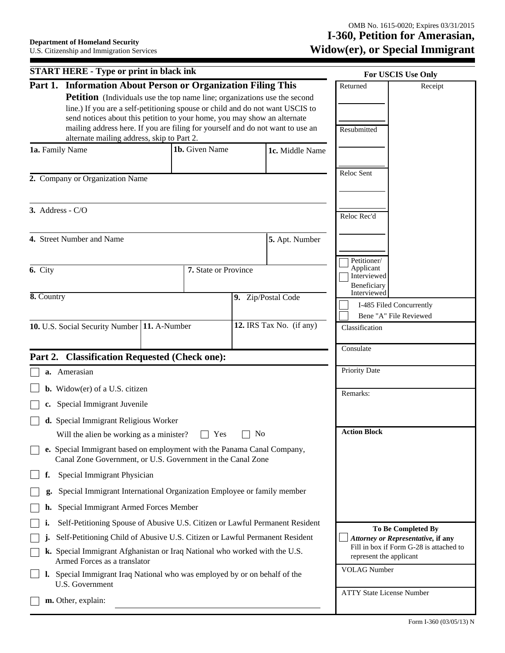|                  | <b>START HERE - Type or print in black ink</b>                                                                                                                                                                                                                                                                                                                                |                      |                |                          |                                         | For USCIS Use Only                      |
|------------------|-------------------------------------------------------------------------------------------------------------------------------------------------------------------------------------------------------------------------------------------------------------------------------------------------------------------------------------------------------------------------------|----------------------|----------------|--------------------------|-----------------------------------------|-----------------------------------------|
|                  | Part 1. Information About Person or Organization Filing This                                                                                                                                                                                                                                                                                                                  |                      |                |                          | Returned                                | Receipt                                 |
|                  | <b>Petition</b> (Individuals use the top name line; organizations use the second<br>line.) If you are a self-petitioning spouse or child and do not want USCIS to<br>send notices about this petition to your home, you may show an alternate<br>mailing address here. If you are filing for yourself and do not want to use an<br>alternate mailing address, skip to Part 2. |                      |                |                          | Resubmitted                             |                                         |
| 1a. Family Name  |                                                                                                                                                                                                                                                                                                                                                                               | 1b. Given Name       |                | 1c. Middle Name          |                                         |                                         |
|                  |                                                                                                                                                                                                                                                                                                                                                                               |                      |                |                          |                                         |                                         |
|                  | 2. Company or Organization Name                                                                                                                                                                                                                                                                                                                                               |                      |                |                          | Reloc Sent                              |                                         |
| 3. Address - C/O |                                                                                                                                                                                                                                                                                                                                                                               |                      |                |                          | Reloc Rec'd                             |                                         |
|                  | 4. Street Number and Name                                                                                                                                                                                                                                                                                                                                                     |                      |                | 5. Apt. Number           |                                         |                                         |
| 6. City          |                                                                                                                                                                                                                                                                                                                                                                               | 7. State or Province |                |                          | Petitioner/<br>Applicant<br>Interviewed |                                         |
|                  |                                                                                                                                                                                                                                                                                                                                                                               |                      |                |                          | Beneficiary<br>Interviewed              |                                         |
| 8. Country       |                                                                                                                                                                                                                                                                                                                                                                               |                      |                | 9. Zip/Postal Code       | I-485 Filed Concurrently                |                                         |
|                  | 10. U.S. Social Security Number   11. A-Number                                                                                                                                                                                                                                                                                                                                |                      |                | 12. IRS Tax No. (if any) | Bene "A" File Reviewed                  |                                         |
|                  |                                                                                                                                                                                                                                                                                                                                                                               |                      |                |                          | Classification                          |                                         |
|                  | Part 2. Classification Requested (Check one):                                                                                                                                                                                                                                                                                                                                 |                      |                |                          | Consulate                               |                                         |
|                  | a. Amerasian                                                                                                                                                                                                                                                                                                                                                                  |                      |                |                          | Priority Date                           |                                         |
|                  | <b>b.</b> Widow(er) of a U.S. citizen                                                                                                                                                                                                                                                                                                                                         |                      |                |                          | Remarks:                                |                                         |
|                  | Special Immigrant Juvenile                                                                                                                                                                                                                                                                                                                                                    |                      |                |                          |                                         |                                         |
|                  | d. Special Immigrant Religious Worker                                                                                                                                                                                                                                                                                                                                         |                      |                |                          |                                         |                                         |
|                  | Will the alien be working as a minister?                                                                                                                                                                                                                                                                                                                                      | Yes                  | N <sub>0</sub> |                          | <b>Action Block</b>                     |                                         |
|                  | e. Special Immigrant based on employment with the Panama Canal Company,<br>Canal Zone Government, or U.S. Government in the Canal Zone                                                                                                                                                                                                                                        |                      |                |                          |                                         |                                         |
|                  | Special Immigrant Physician                                                                                                                                                                                                                                                                                                                                                   |                      |                |                          |                                         |                                         |
|                  | Special Immigrant International Organization Employee or family member                                                                                                                                                                                                                                                                                                        |                      |                |                          |                                         |                                         |
|                  | Special Immigrant Armed Forces Member                                                                                                                                                                                                                                                                                                                                         |                      |                |                          |                                         |                                         |
|                  | Self-Petitioning Spouse of Abusive U.S. Citizen or Lawful Permanent Resident                                                                                                                                                                                                                                                                                                  |                      |                |                          |                                         | To Be Completed By                      |
|                  | Self-Petitioning Child of Abusive U.S. Citizen or Lawful Permanent Resident                                                                                                                                                                                                                                                                                                   |                      |                |                          |                                         | Attorney or Representative, if any      |
|                  | k. Special Immigrant Afghanistan or Iraq National who worked with the U.S.<br>Armed Forces as a translator                                                                                                                                                                                                                                                                    |                      |                |                          | represent the applicant                 | Fill in box if Form G-28 is attached to |
|                  | Special Immigrant Iraq National who was employed by or on behalf of the<br>U.S. Government                                                                                                                                                                                                                                                                                    |                      |                |                          | <b>VOLAG Number</b>                     |                                         |
|                  | m. Other, explain:                                                                                                                                                                                                                                                                                                                                                            |                      |                |                          | <b>ATTY State License Number</b>        |                                         |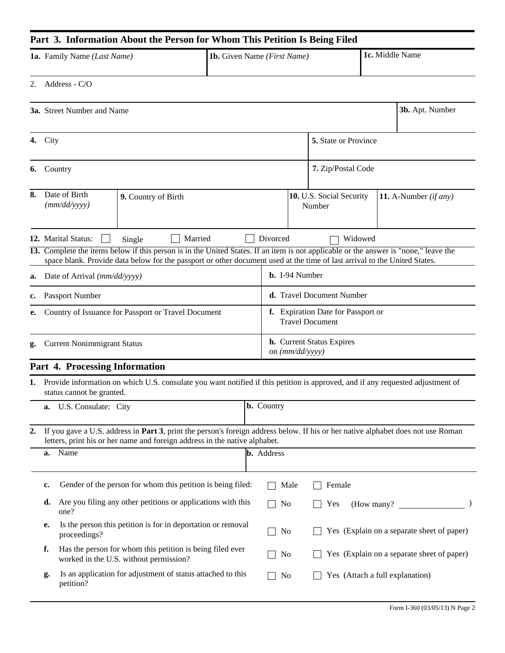# **Part 3. Information About the Person for Whom This Petition Is Being Filed**

| <b>1a.</b> Family Name <i>(Last Name)</i> | <b>1b.</b> Given Name <i>(First Name)</i> | 1c. Middle Name |
|-------------------------------------------|-------------------------------------------|-----------------|
|                                           |                                           |                 |

2. Address - C/O

|    | <b>3a.</b> Street Number and Name                   |                                    |                                                                                                                                                                                                                                                                   |  |                                                              |  |                                    |  | 3b. Apt. Number                            |
|----|-----------------------------------------------------|------------------------------------|-------------------------------------------------------------------------------------------------------------------------------------------------------------------------------------------------------------------------------------------------------------------|--|--------------------------------------------------------------|--|------------------------------------|--|--------------------------------------------|
| 4. | City                                                |                                    |                                                                                                                                                                                                                                                                   |  |                                                              |  | 5. State or Province               |  |                                            |
| 6. | Country                                             |                                    |                                                                                                                                                                                                                                                                   |  |                                                              |  | 7. Zip/Postal Code                 |  |                                            |
| 8. |                                                     | Date of Birth<br>(mm/dd/yyyy)      | 9. Country of Birth                                                                                                                                                                                                                                               |  |                                                              |  | 10. U.S. Social Security<br>Number |  | 11. A-Number $(if any)$                    |
|    |                                                     | 12. Marital Status:                | Married<br>Single                                                                                                                                                                                                                                                 |  | Divorced                                                     |  | Widowed                            |  |                                            |
|    |                                                     |                                    | 13. Complete the items below if this person is in the United States. If an item is not applicable or the answer is "none," leave the<br>space blank. Provide data below for the passport or other document used at the time of last arrival to the United States. |  |                                                              |  |                                    |  |                                            |
| a. |                                                     | Date of Arrival (mm/dd/yyyy)       |                                                                                                                                                                                                                                                                   |  | <b>b.</b> I-94 Number                                        |  |                                    |  |                                            |
| c. |                                                     | Passport Number                    |                                                                                                                                                                                                                                                                   |  |                                                              |  | d. Travel Document Number          |  |                                            |
| е. | Country of Issuance for Passport or Travel Document |                                    |                                                                                                                                                                                                                                                                   |  | f. Expiration Date for Passport or<br><b>Travel Document</b> |  |                                    |  |                                            |
| g. |                                                     | <b>Current Nonimmigrant Status</b> |                                                                                                                                                                                                                                                                   |  | <b>h.</b> Current Status Expires<br>on $(mm/dd/yyyy)$        |  |                                    |  |                                            |
|    |                                                     | Part 4. Processing Information     |                                                                                                                                                                                                                                                                   |  |                                                              |  |                                    |  |                                            |
| 1. |                                                     | status cannot be granted.          | Provide information on which U.S. consulate you want notified if this petition is approved, and if any requested adjustment of                                                                                                                                    |  |                                                              |  |                                    |  |                                            |
|    | a.                                                  | U.S. Consulate: City               |                                                                                                                                                                                                                                                                   |  | <b>b.</b> Country                                            |  |                                    |  |                                            |
| 2. |                                                     |                                    | If you gave a U.S. address in Part 3, print the person's foreign address below. If his or her native alphabet does not use Roman<br>letters, print his or her name and foreign address in the native alphabet.                                                    |  |                                                              |  |                                    |  |                                            |
|    | Name<br>a.                                          |                                    |                                                                                                                                                                                                                                                                   |  | <b>b.</b> Address                                            |  |                                    |  |                                            |
|    | c.                                                  |                                    | Gender of the person for whom this petition is being filed:                                                                                                                                                                                                       |  | Male                                                         |  | Female                             |  |                                            |
|    | d.                                                  | one?                               | Are you filing any other petitions or applications with this                                                                                                                                                                                                      |  | No                                                           |  | Yes                                |  | (How many?)                                |
|    | e.                                                  | proceedings?                       | Is the person this petition is for in deportation or removal                                                                                                                                                                                                      |  | No                                                           |  |                                    |  | Yes (Explain on a separate sheet of paper) |
|    | f.                                                  |                                    | Has the person for whom this petition is being filed ever<br>worked in the U.S. without permission?                                                                                                                                                               |  | No                                                           |  |                                    |  | Yes (Explain on a separate sheet of paper) |
|    | g.                                                  | petition?                          | Is an application for adjustment of status attached to this                                                                                                                                                                                                       |  | No                                                           |  | Yes (Attach a full explanation)    |  |                                            |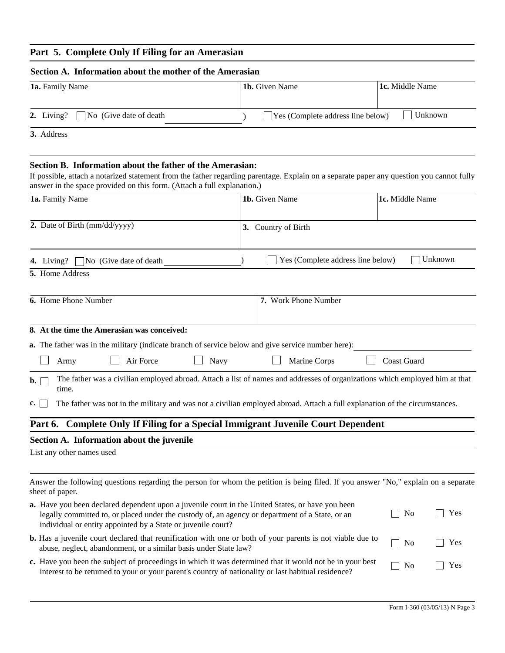#### **Part 5. Complete Only If Filing for an Amerasian**

| Section A. Information about the mother of the Amerasian |                                             |                 |  |  |  |  |
|----------------------------------------------------------|---------------------------------------------|-----------------|--|--|--|--|
| <b>1a.</b> Family Name                                   | 1 <b>b.</b> Given Name                      | 1c. Middle Name |  |  |  |  |
| 2. Living? $\Box$ No (Give date of death                 | $\exists$ Yes (Complete address line below) | Unknown         |  |  |  |  |
|                                                          |                                             |                 |  |  |  |  |

**3.** Address

## **Section B. Information about the father of the Amerasian:**

If possible, attach a notarized statement from the father regarding parentage. Explain on a separate paper any question you cannot fully answer in the space provided on this form. (Attach a full explanation.)

| 1a. Family Name                                                                                                                                                                                                                                                     | 1b. Given Name                    | 1c. Middle Name       |  |  |  |  |
|---------------------------------------------------------------------------------------------------------------------------------------------------------------------------------------------------------------------------------------------------------------------|-----------------------------------|-----------------------|--|--|--|--|
| 2. Date of Birth (mm/dd/yyyy)                                                                                                                                                                                                                                       | 3. Country of Birth               |                       |  |  |  |  |
| $\neg$ No (Give date of death<br>4. Living?                                                                                                                                                                                                                         | Yes (Complete address line below) | Unknown               |  |  |  |  |
| 5. Home Address                                                                                                                                                                                                                                                     |                                   |                       |  |  |  |  |
| 6. Home Phone Number                                                                                                                                                                                                                                                | 7. Work Phone Number              |                       |  |  |  |  |
| 8. At the time the Amerasian was conceived:<br><b>a.</b> The father was in the military (indicate branch of service below and give service number here):                                                                                                            |                                   |                       |  |  |  |  |
| Air Force<br>Navy<br>Army                                                                                                                                                                                                                                           | Marine Corps                      | <b>Coast Guard</b>    |  |  |  |  |
| The father was a civilian employed abroad. Attach a list of names and addresses of organizations which employed him at that<br>$\mathbf{b}$ .<br>time.                                                                                                              |                                   |                       |  |  |  |  |
| The father was not in the military and was not a civilian employed abroad. Attach a full explanation of the circumstances.<br>c.                                                                                                                                    |                                   |                       |  |  |  |  |
| Part 6. Complete Only If Filing for a Special Immigrant Juvenile Court Dependent                                                                                                                                                                                    |                                   |                       |  |  |  |  |
| Section A. Information about the juvenile                                                                                                                                                                                                                           |                                   |                       |  |  |  |  |
| List any other names used                                                                                                                                                                                                                                           |                                   |                       |  |  |  |  |
| Answer the following questions regarding the person for whom the petition is being filed. If you answer "No," explain on a separate<br>sheet of paper.                                                                                                              |                                   |                       |  |  |  |  |
| a. Have you been declared dependent upon a juvenile court in the United States, or have you been<br>legally committed to, or placed under the custody of, an agency or department of a State, or an<br>individual or entity appointed by a State or juvenile court? |                                   | Yes<br>No             |  |  |  |  |
| <b>b.</b> Has a juvenile court declared that reunification with one or both of your parents is not viable due to<br>abuse, neglect, abandonment, or a similar basis under State law?                                                                                |                                   | Yes<br>N <sub>0</sub> |  |  |  |  |

**c.** Have you been the subject of proceedings in which it was determined that it would not be in your best interest to be returned to your or your parent's country of nationality or last habitual residence? No P Yes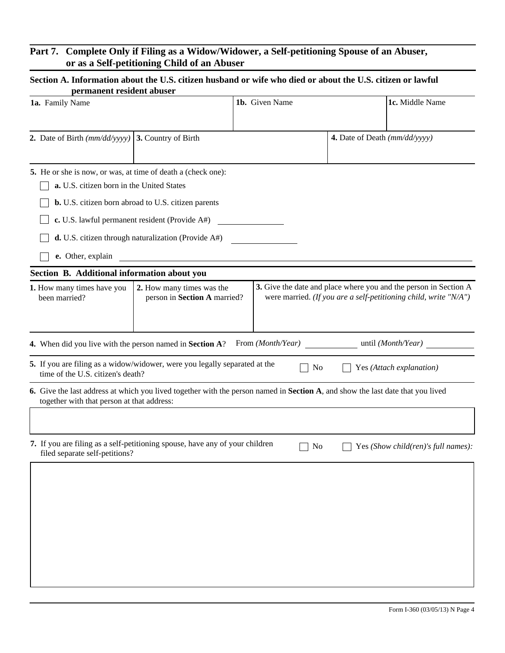## **Part 7. Complete Only if Filing as a Widow/Widower, a Self-petitioning Spouse of an Abuser, or as a Self-petitioning Child of an Abuser**

### **Section A. Information about the U.S. citizen husband or wife who died or about the U.S. citizen or lawful permanent resident abuser**

| permanent resident abuser                                                                                       |                                                            |                |                                                                                                                                      |
|-----------------------------------------------------------------------------------------------------------------|------------------------------------------------------------|----------------|--------------------------------------------------------------------------------------------------------------------------------------|
| 1a. Family Name                                                                                                 |                                                            | 1b. Given Name | 1c. Middle Name                                                                                                                      |
| 2. Date of Birth $\left(\frac{mm}{dd}{\vee}$ yyyy $\right)$ 3. Country of Birth                                 |                                                            |                | 4. Date of Death $(mm/dd/yyyy)$                                                                                                      |
| 5. He or she is now, or was, at time of death a (check one):                                                    |                                                            |                |                                                                                                                                      |
| a. U.S. citizen born in the United States                                                                       |                                                            |                |                                                                                                                                      |
|                                                                                                                 | <b>b.</b> U.S. citizen born abroad to U.S. citizen parents |                |                                                                                                                                      |
|                                                                                                                 | c. U.S. lawful permanent resident (Provide A#)             |                |                                                                                                                                      |
|                                                                                                                 | $d$ . U.S. citizen through naturalization (Provide A#)     |                |                                                                                                                                      |
| e. Other, explain                                                                                               | the contract of the contract of the contract of            |                |                                                                                                                                      |
| Section B. Additional information about you                                                                     |                                                            |                |                                                                                                                                      |
| 1. How many times have you<br>been married?                                                                     | 2. How many times was the<br>person in Section A married?  |                | 3. Give the date and place where you and the person in Section A<br>were married. (If you are a self-petitioning child, write "N/A") |
| 4. When did you live with the person named in Section A? From (Month/Year)                                      |                                                            |                | until ( <i>Month/Year</i> )                                                                                                          |
| 5. If you are filing as a widow/widower, were you legally separated at the<br>time of the U.S. citizen's death? |                                                            | No             | Yes (Attach explanation)                                                                                                             |
| together with that person at that address:                                                                      |                                                            |                | 6. Give the last address at which you lived together with the person named in Section A, and show the last date that you lived       |
|                                                                                                                 |                                                            |                |                                                                                                                                      |
| 7. If you are filing as a self-petitioning spouse, have any of your children<br>filed separate self-petitions?  |                                                            | N <sub>0</sub> | Yes (Show child(ren)'s full names):                                                                                                  |
|                                                                                                                 |                                                            |                |                                                                                                                                      |
|                                                                                                                 |                                                            |                |                                                                                                                                      |
|                                                                                                                 |                                                            |                |                                                                                                                                      |
|                                                                                                                 |                                                            |                |                                                                                                                                      |
|                                                                                                                 |                                                            |                |                                                                                                                                      |
|                                                                                                                 |                                                            |                |                                                                                                                                      |
|                                                                                                                 |                                                            |                |                                                                                                                                      |
|                                                                                                                 |                                                            |                |                                                                                                                                      |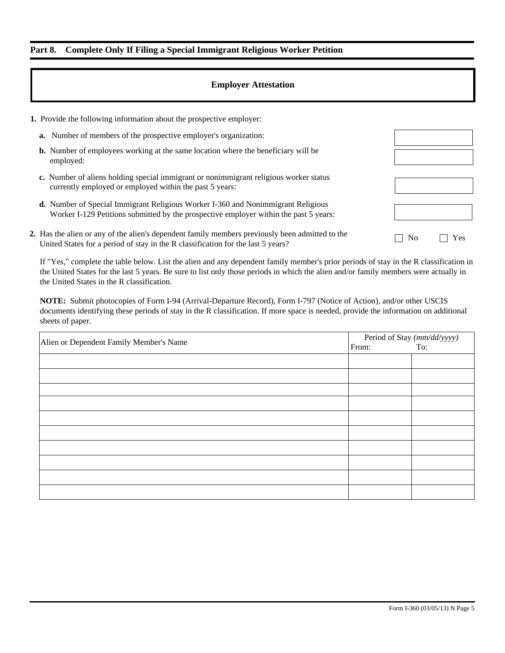## **Part 8. Complete Only If Filing a Special Immigrant Religious Worker Petition**

#### **Employer Attestation**

| <b>1.</b> Provide the following information about the prospective employer:                                                                                                         |                |     |
|-------------------------------------------------------------------------------------------------------------------------------------------------------------------------------------|----------------|-----|
| <b>a.</b> Number of members of the prospective employer's organization:                                                                                                             |                |     |
| <b>b.</b> Number of employees working at the same location where the beneficiary will be<br>employed:                                                                               |                |     |
| c. Number of aliens holding special immigrant or nonimmigrant religious worker status<br>currently employed or employed within the past 5 years:                                    |                |     |
| <b>d.</b> Number of Special Immigrant Religious Worker I-360 and Nonimmigrant Religious<br>Worker I-129 Petitions submitted by the prospective employer within the past 5 years:    |                |     |
| 2. Has the alien or any of the alien's dependent family members previously been admitted to the<br>United States for a period of stay in the R classification for the last 5 years? | N <sub>0</sub> | Yes |

If "Yes," complete the table below. List the alien and any dependent family member's prior periods of stay in the R classification in the United States for the last 5 years. Be sure to list only those periods in which the alien and/or family members were actually in the United States in the R classification.

**NOTE:** Submit photocopies of Form I-94 (Arrival-Departure Record), Form I-797 (Notice of Action), and/or other USCIS documents identifying these periods of stay in the R classification. If more space is needed, provide the information on additional sheets of paper.

|                                         | Period of Stay (mm/dd/yyyy)<br>m: To: |  |  |
|-----------------------------------------|---------------------------------------|--|--|
| Alien or Dependent Family Member's Name | From:                                 |  |  |
|                                         |                                       |  |  |
|                                         |                                       |  |  |
|                                         |                                       |  |  |
|                                         |                                       |  |  |
|                                         |                                       |  |  |
|                                         |                                       |  |  |
|                                         |                                       |  |  |
|                                         |                                       |  |  |
|                                         |                                       |  |  |
|                                         |                                       |  |  |
|                                         |                                       |  |  |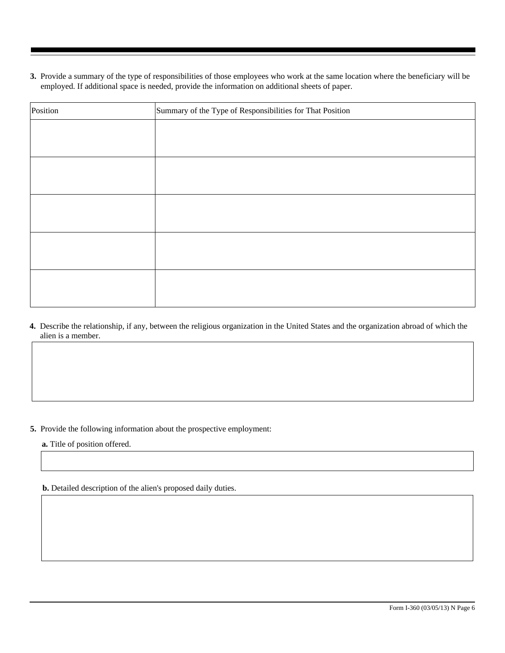**3.** Provide a summary of the type of responsibilities of those employees who work at the same location where the beneficiary will be employed. If additional space is needed, provide the information on additional sheets of paper.

| Summary of the Type of Responsibilities for That Position<br>Position |  |  |  |
|-----------------------------------------------------------------------|--|--|--|
|                                                                       |  |  |  |
|                                                                       |  |  |  |
|                                                                       |  |  |  |
|                                                                       |  |  |  |
|                                                                       |  |  |  |
|                                                                       |  |  |  |
|                                                                       |  |  |  |
|                                                                       |  |  |  |
|                                                                       |  |  |  |
|                                                                       |  |  |  |

**4.** Describe the relationship, if any, between the religious organization in the United States and the organization abroad of which the alien is a member.

**5.** Provide the following information about the prospective employment:

**a.** Title of position offered.

**b.** Detailed description of the alien's proposed daily duties.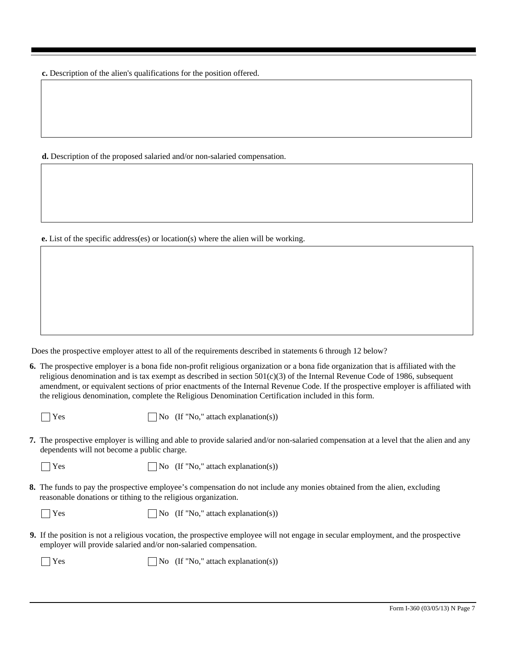**c.** Description of the alien's qualifications for the position offered.

**d.** Description of the proposed salaried and/or non-salaried compensation.

**e.** List of the specific address(es) or location(s) where the alien will be working.

Does the prospective employer attest to all of the requirements described in statements 6 through 12 below?

**6.** The prospective employer is a bona fide non-profit religious organization or a bona fide organization that is affiliated with the religious denomination and is tax exempt as described in section  $501(c)(3)$  of the Internal Revenue Code of 1986, subsequent amendment, or equivalent sections of prior enactments of the Internal Revenue Code. If the prospective employer is affiliated with the religious denomination, complete the Religious Denomination Certification included in this form.

 $\bigcap$  Yes  $\bigcap$  No (If "No," attach explanation(s))

**7.** The prospective employer is willing and able to provide salaried and/or non-salaried compensation at a level that the alien and any dependents will not become a public charge.

 $\bigcap$  Yes  $\bigcap$  No (If "No," attach explanation(s))

**8.** The funds to pay the prospective employee's compensation do not include any monies obtained from the alien, excluding reasonable donations or tithing to the religious organization.

 $\bigcap$  Yes  $\bigcap$  No (If "No," attach explanation(s))

**9.** If the position is not a religious vocation, the prospective employee will not engage in secular employment, and the prospective employer will provide salaried and/or non-salaried compensation.

 $\bigcap$  Yes  $\bigcap$  No (If "No," attach explanation(s))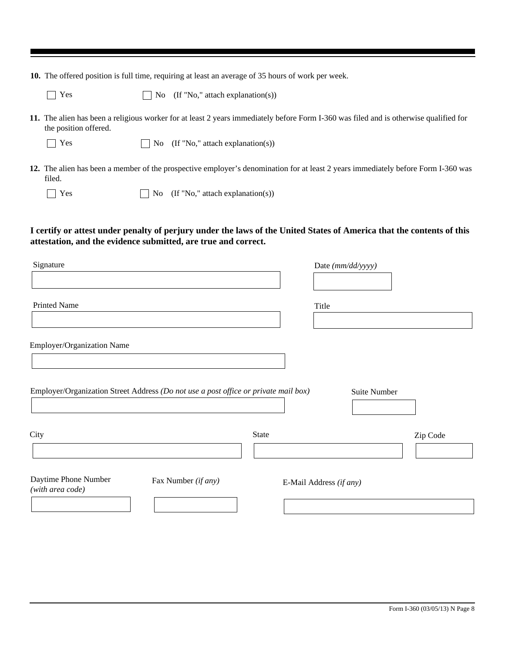**10.** The offered position is full time, requiring at least an average of 35 hours of work per week.

 $\Box$  No (If "No," attach explanation(s))

- **11.** The alien has been a religious worker for at least 2 years immediately before Form I-360 was filed and is otherwise qualified for the position offered.
	- $\Box$  Yes  $\Box$  No (If "No," attach explanation(s))
- **12.** The alien has been a member of the prospective employer's denomination for at least 2 years immediately before Form I-360 was filed.

|  | ۰,<br>٧<br>× |
|--|--------------|
|  |              |

 $\Box$  No (If "No," attach explanation(s))

**I certify or attest under penalty of perjury under the laws of the United States of America that the contents of this attestation, and the evidence submitted, are true and correct.**

| Signature                                                                           | Date (mm/dd/yyyy) |                         |          |
|-------------------------------------------------------------------------------------|-------------------|-------------------------|----------|
| <b>Printed Name</b>                                                                 |                   | Title                   |          |
|                                                                                     |                   |                         |          |
| Employer/Organization Name                                                          |                   |                         |          |
|                                                                                     |                   |                         |          |
| Employer/Organization Street Address (Do not use a post office or private mail box) |                   | Suite Number            |          |
| City                                                                                | State             |                         | Zip Code |
| Daytime Phone Number<br>Fax Number (if any)<br>(with area code)                     |                   | E-Mail Address (if any) |          |
|                                                                                     |                   |                         |          |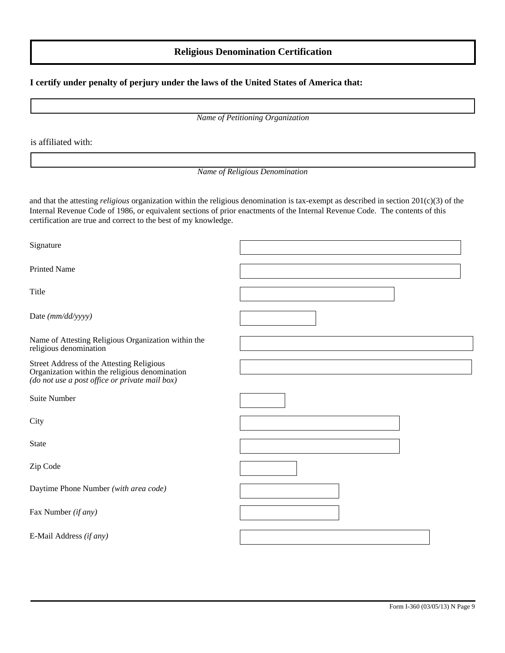### **Religious Denomination Certification**

#### **I certify under penalty of perjury under the laws of the United States of America that:**

*Name of Petitioning Organization*

is affiliated with:

#### *Name of Religious Denomination*

and that the attesting *religious* organization within the religious denomination is tax-exempt as described in section 201(c)(3) of the Internal Revenue Code of 1986, or equivalent sections of prior enactments of the Internal Revenue Code. The contents of this certification are true and correct to the best of my knowledge.

Signature

Printed Name

Title

Date *(mm/dd/yyyy)*

Name of Attesting Religious Organization within the religious denomination

Street Address of the Attesting Religious Organization within the religious denomination *(do not use a post office or private mail box)*

Suite Number

**City** 

State

Zip Code

Daytime Phone Number *(with area code)*

Fax Number *(if any)*

E-Mail Address *(if any)*

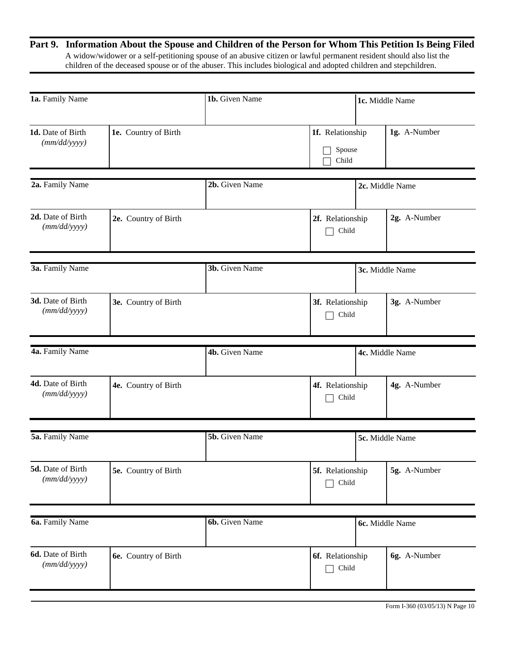## **Part 9. Information About the Spouse and Children of the Person for Whom This Petition Is Being Filed**  A widow/widower or a self-petitioning spouse of an abusive citizen or lawful permanent resident should also list the children of the deceased spouse or of the abuser. This includes biological and adopted children and stepchildren.

| 1a. Family Name                   |                      | 1b. Given Name        |                                     | 1c. Middle Name |                 |
|-----------------------------------|----------------------|-----------------------|-------------------------------------|-----------------|-----------------|
| 1d. Date of Birth<br>(mm/dd/yyyy) | 1e. Country of Birth |                       | 1f. Relationship<br>Spouse<br>Child |                 | 1g. A-Number    |
| 2a. Family Name                   |                      | 2b. Given Name        |                                     |                 | 2c. Middle Name |
|                                   |                      |                       |                                     |                 |                 |
| 2d. Date of Birth<br>(mm/dd/yyyy) | 2e. Country of Birth |                       | 2f. Relationship<br>Child           |                 | 2g. A-Number    |
| 3a. Family Name                   |                      | 3b. Given Name        |                                     |                 | 3c. Middle Name |
|                                   |                      |                       |                                     |                 |                 |
| 3d. Date of Birth<br>(mm/dd/yyyy) | 3e. Country of Birth |                       | 3f. Relationship<br>Child           |                 | 3g. A-Number    |
| 4a. Family Name                   |                      | 4b. Given Name        |                                     |                 | 4c. Middle Name |
|                                   |                      |                       |                                     |                 |                 |
| 4d. Date of Birth<br>(mm/dd/yyyy) | 4e. Country of Birth |                       | 4f. Relationship<br>Child           |                 | 4g. A-Number    |
|                                   |                      |                       |                                     |                 |                 |
| 5a. Family Name                   |                      | <b>5b.</b> Given Name |                                     |                 | 5c. Middle Name |
| 5d. Date of Birth<br>(mm/dd/yyyy) | 5e. Country of Birth |                       | 5f. Relationship<br>Child           |                 | 5g. A-Number    |
|                                   |                      |                       |                                     |                 |                 |
| 6a. Family Name                   |                      | 6b. Given Name        |                                     |                 | 6c. Middle Name |
| 6d. Date of Birth<br>(mm/dd/yyyy) | 6e. Country of Birth |                       | 6f. Relationship<br>Child           |                 | 6g. A-Number    |
|                                   |                      |                       |                                     |                 |                 |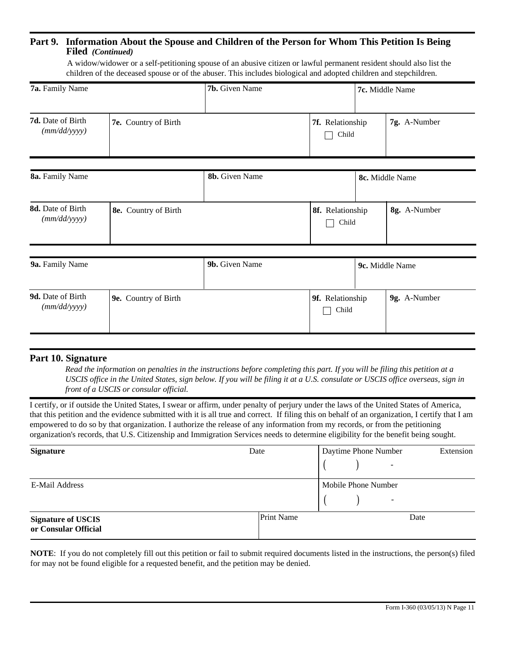## **Part 9. Information About the Spouse and Children of the Person for Whom This Petition Is Being Filed** *(Continued)*

 A widow/widower or a self-petitioning spouse of an abusive citizen or lawful permanent resident should also list the children of the deceased spouse or of the abuser. This includes biological and adopted children and stepchildren.

| 7a. Family Name                   |                      | 7b. Given Name |                           | 7c. Middle Name |  |
|-----------------------------------|----------------------|----------------|---------------------------|-----------------|--|
| 7d. Date of Birth<br>(mm/dd/yyyy) | 7e. Country of Birth |                | 7f. Relationship<br>Child | 7g. A-Number    |  |
| 8a. Family Name                   |                      | 8b. Given Name |                           | 8c. Middle Name |  |
| 8d. Date of Birth<br>(mm/dd/yyyy) | 8e. Country of Birth |                | 8f. Relationship<br>Child | 8g. A-Number    |  |
| 9a. Family Name                   |                      | 9b. Given Name |                           | 9c. Middle Name |  |
| 9d. Date of Birth<br>(mm/dd/yyyy) | 9e. Country of Birth |                | 9f. Relationship<br>Child | 9g. A-Number    |  |

## **Part 10. Signature**

*Read the information on penalties in the instructions before completing this part. If you will be filing this petition at a USCIS office in the United States, sign below. If you will be filing it at a U.S. consulate or USCIS office overseas, sign in front of a USCIS or consular official.*

I certify, or if outside the United States, I swear or affirm, under penalty of perjury under the laws of the United States of America, that this petition and the evidence submitted with it is all true and correct. If filing this on behalf of an organization, I certify that I am empowered to do so by that organization. I authorize the release of any information from my records, or from the petitioning organization's records, that U.S. Citizenship and Immigration Services needs to determine eligibility for the benefit being sought.

| <b>Signature</b>                                  | Date              | Daytime Phone Number<br>Extension<br>- |
|---------------------------------------------------|-------------------|----------------------------------------|
| E-Mail Address                                    |                   | Mobile Phone Number<br>-               |
| <b>Signature of USCIS</b><br>or Consular Official | <b>Print Name</b> | Date                                   |

**NOTE**: If you do not completely fill out this petition or fail to submit required documents listed in the instructions, the person(s) filed for may not be found eligible for a requested benefit, and the petition may be denied.